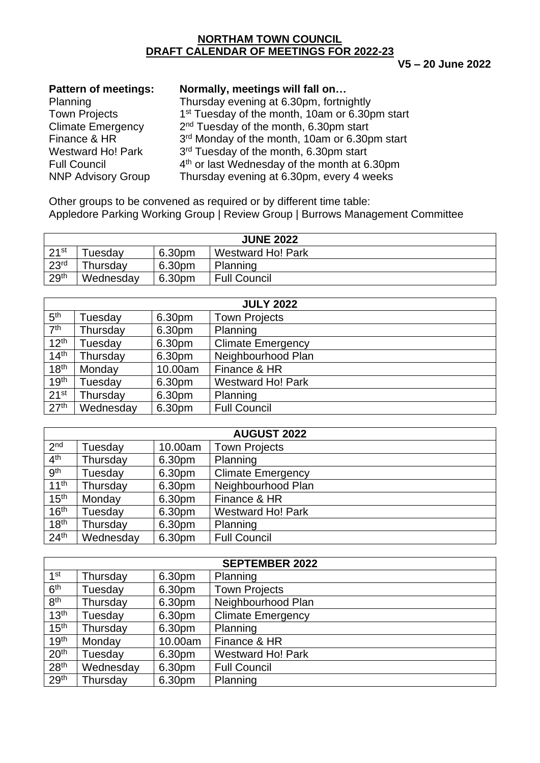### **NORTHAM TOWN COUNCIL DRAFT CALENDAR OF MEETINGS FOR 2022-23**

#### **V5 – 20 June 2022**

| <b>Pattern of meetings:</b> | Normally, meetings will fall on                            |
|-----------------------------|------------------------------------------------------------|
| Planning                    | Thursday evening at 6.30pm, fortnightly                    |
| <b>Town Projects</b>        | 1 <sup>st</sup> Tuesday of the month, 10am or 6.30pm start |
| <b>Climate Emergency</b>    | 2 <sup>nd</sup> Tuesday of the month, 6.30pm start         |
| Finance & HR                | 3rd Monday of the month, 10am or 6.30pm start              |
| <b>Westward Ho! Park</b>    | 3rd Tuesday of the month, 6.30pm start                     |
| <b>Full Council</b>         | 4 <sup>th</sup> or last Wednesday of the month at 6.30pm   |
| <b>NNP Advisory Group</b>   | Thursday evening at 6.30pm, every 4 weeks                  |
|                             |                                                            |

Other groups to be convened as required or by different time table: Appledore Parking Working Group | Review Group | Burrows Management Committee

| <b>JUNE 2022</b> |           |        |                          |
|------------------|-----------|--------|--------------------------|
| 21st             | uesdav    | 6.30pm | <b>Westward Ho! Park</b> |
| 23 <sup>rd</sup> | Thursdav  | 6.30pm | Planning                 |
| 29 <sup>th</sup> | Wednesday | 6.30pm | <b>Full Council</b>      |

| <b>JULY 2022</b> |           |         |                          |
|------------------|-----------|---------|--------------------------|
| 5 <sup>th</sup>  | Tuesday   | 6.30pm  | <b>Town Projects</b>     |
| 7 <sup>th</sup>  | Thursday  | 6.30pm  | Planning                 |
| 12 <sup>th</sup> | Tuesday   | 6.30pm  | <b>Climate Emergency</b> |
| 14 <sup>th</sup> | Thursday  | 6.30pm  | Neighbourhood Plan       |
| 18 <sup>th</sup> | Monday    | 10.00am | Finance & HR             |
| 19 <sup>th</sup> | Tuesday   | 6.30pm  | <b>Westward Ho! Park</b> |
| 21 <sup>st</sup> | Thursday  | 6.30pm  | Planning                 |
| 27 <sup>th</sup> | Wednesday | 6.30pm  | <b>Full Council</b>      |

| <b>AUGUST 2022</b> |           |         |                          |
|--------------------|-----------|---------|--------------------------|
| 2 <sub>nd</sub>    | Tuesday   | 10.00am | <b>Town Projects</b>     |
| 4 <sup>th</sup>    | Thursday  | 6.30pm  | Planning                 |
| <b>gth</b>         | Tuesday   | 6.30pm  | <b>Climate Emergency</b> |
| 11 <sup>th</sup>   | Thursday  | 6.30pm  | Neighbourhood Plan       |
| 15 <sup>th</sup>   | Monday    | 6.30pm  | Finance & HR             |
| 16 <sup>th</sup>   | Tuesday   | 6.30pm  | <b>Westward Ho! Park</b> |
| 18 <sup>th</sup>   | Thursday  | 6.30pm  | Planning                 |
| 24 <sup>th</sup>   | Wednesday | 6.30pm  | <b>Full Council</b>      |

| <b>SEPTEMBER 2022</b> |           |         |                          |
|-----------------------|-----------|---------|--------------------------|
| $1$ st                | Thursday  | 6.30pm  | Planning                 |
| 6 <sup>th</sup>       | Tuesday   | 6.30pm  | <b>Town Projects</b>     |
| 8 <sup>th</sup>       | Thursday  | 6.30pm  | Neighbourhood Plan       |
| 13 <sup>th</sup>      | Tuesday   | 6.30pm  | <b>Climate Emergency</b> |
| 15 <sup>th</sup>      | Thursday  | 6.30pm  | Planning                 |
| 19 <sup>th</sup>      | Monday    | 10.00am | Finance & HR             |
| 20 <sup>th</sup>      | Tuesday   | 6.30pm  | <b>Westward Ho! Park</b> |
| 28 <sup>th</sup>      | Wednesday | 6.30pm  | <b>Full Council</b>      |
| 29 <sup>th</sup>      | Thursday  | 6.30pm  | Planning                 |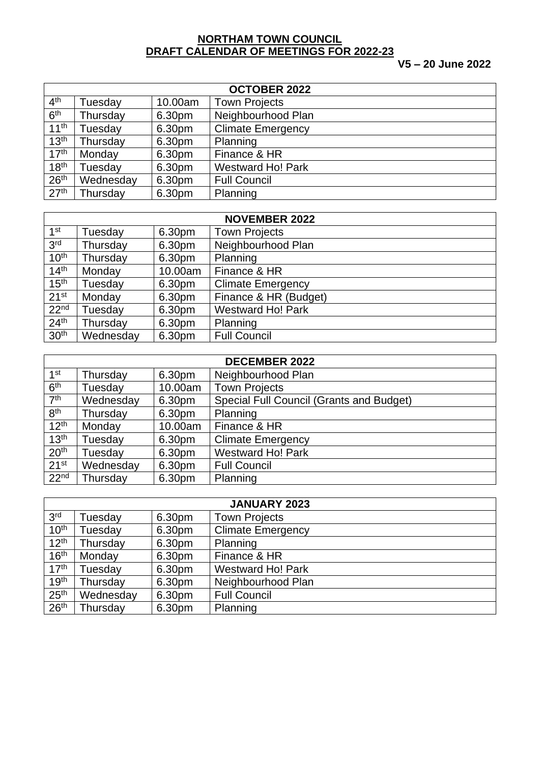### **NORTHAM TOWN COUNCIL DRAFT CALENDAR OF MEETINGS FOR 2022-23**

# **V5 – 20 June 2022**

| <b>OCTOBER 2022</b> |           |         |                          |
|---------------------|-----------|---------|--------------------------|
| 4 <sup>th</sup>     | Tuesday   | 10.00am | <b>Town Projects</b>     |
| 6 <sup>th</sup>     | Thursday  | 6.30pm  | Neighbourhood Plan       |
| 11 <sup>th</sup>    | Tuesday   | 6.30pm  | <b>Climate Emergency</b> |
| 13 <sup>th</sup>    | Thursday  | 6.30pm  | Planning                 |
| 17 <sup>th</sup>    | Monday    | 6.30pm  | Finance & HR             |
| 18 <sup>th</sup>    | Tuesdav   | 6.30pm  | <b>Westward Ho! Park</b> |
| 26 <sup>th</sup>    | Wednesday | 6.30pm  | <b>Full Council</b>      |
| 27 <sup>th</sup>    | Thursday  | 6.30pm  | Planning                 |

| <b>NOVEMBER 2022</b> |           |         |                          |
|----------------------|-----------|---------|--------------------------|
| 1 <sup>st</sup>      | Tuesday   | 6.30pm  | <b>Town Projects</b>     |
| 3 <sup>rd</sup>      | Thursday  | 6.30pm  | Neighbourhood Plan       |
| 10 <sup>th</sup>     | Thursday  | 6.30pm  | Planning                 |
| 14 <sup>th</sup>     | Monday    | 10.00am | Finance & HR             |
| 15 <sup>th</sup>     | Tuesday   | 6.30pm  | <b>Climate Emergency</b> |
| 21 <sup>st</sup>     | Monday    | 6.30pm  | Finance & HR (Budget)    |
| 22 <sup>nd</sup>     | Tuesday   | 6.30pm  | <b>Westward Ho! Park</b> |
| 24 <sup>th</sup>     | Thursday  | 6.30pm  | Planning                 |
| 30 <sup>th</sup>     | Wednesday | 6.30pm  | <b>Full Council</b>      |

| <b>DECEMBER 2022</b> |           |         |                                          |
|----------------------|-----------|---------|------------------------------------------|
| 1 <sup>st</sup>      | Thursday  | 6.30pm  | Neighbourhood Plan                       |
| 6 <sup>th</sup>      | Tuesday   | 10.00am | <b>Town Projects</b>                     |
| 7 <sup>th</sup>      | Wednesday | 6.30pm  | Special Full Council (Grants and Budget) |
| 8 <sup>th</sup>      | Thursday  | 6.30pm  | Planning                                 |
| 12 <sup>th</sup>     | Monday    | 10.00am | Finance & HR                             |
| 13 <sup>th</sup>     | Tuesday   | 6.30pm  | <b>Climate Emergency</b>                 |
| 20 <sup>th</sup>     | Tuesday   | 6.30pm  | <b>Westward Ho! Park</b>                 |
| 21 <sup>st</sup>     | Wednesday | 6.30pm  | <b>Full Council</b>                      |
| 22 <sup>nd</sup>     | Thursday  | 6.30pm  | Planning                                 |

| <b>JANUARY 2023</b> |           |        |                          |
|---------------------|-----------|--------|--------------------------|
| 3 <sup>rd</sup>     | Tuesday   | 6.30pm | <b>Town Projects</b>     |
| 10 <sup>th</sup>    | Tuesday   | 6.30pm | <b>Climate Emergency</b> |
| 12 <sup>th</sup>    | Thursday  | 6.30pm | Planning                 |
| 16 <sup>th</sup>    | Monday    | 6.30pm | Finance & HR             |
| 17 <sup>th</sup>    | Tuesday   | 6.30pm | <b>Westward Ho! Park</b> |
| 19 <sup>th</sup>    | Thursday  | 6.30pm | Neighbourhood Plan       |
| 25 <sup>th</sup>    | Wednesday | 6.30pm | <b>Full Council</b>      |
| 26 <sup>th</sup>    | Thursday  | 6.30pm | Planning                 |